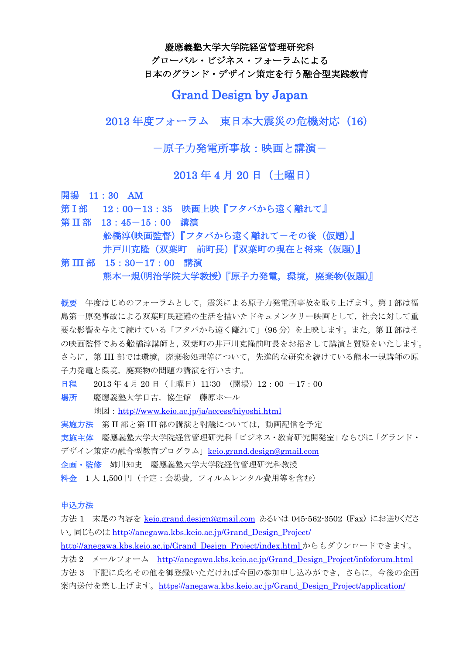慶應義塾大学大学院経営管理研究科

グローバル・ビジネス・フォーラムによる 日本のグランド・デザイン策定を行う融合型実践教育

# Grand Design by Japan

2013 年度フォーラム 東日本大震災の危機対応(16)

-原子力発電所事故:映画と講演-

2013 年 4 月 20 日(土曜日)

開場 11:30 AM

第 I 部 12:00-13:35 映画上映『フタバから遠く離れて』

第 II 部 13:45-15:00 講演 舩橋淳(映画監督)『フタバから遠く離れて-その後(仮題)』 井戸川克隆 (双葉町 前町長)『双葉町の現在と将来 (仮題)』

第 III 部 15:30-17:00 講演 熊本一規(明治学院大学教授)『原子力発電,環境,廃棄物(仮題)』

概要 年度はじめのフォーラムとして,震災による原子力発電所事故を取り上げます。第I部は福 島第一原発事故による双葉町民避難の生活を描いたドキュメンタリー映画として,社会に対して重 要な影響を与えて続けている「フタバから遠く離れて」(96分)を上映します。また,第II 部はそ の映画監督である舩橋淳講師と,双葉町の井戸川克隆前町長をお招きして講演と質疑をいたします。 さらに,第 III 部では環境,廃棄物処理等について,先進的な研究を続けている熊本一規講師の原 子力発電と環境、廃棄物の問題の講演を行います。

日程 2013年 4 月 20 日 (土曜日) 11:30 (開場) 12:00 -17:00

場所 慶應義塾大学日吉,協生館 藤原ホール

地図: <http://www.keio.ac.jp/ja/access/hiyoshi.html>

実施方法 第 II 部と第 III 部の講演と討議については、動画配信を予定

実施主体 慶應義塾大学大学院経営管理研究科「ビジネス・教育研究開発室」ならびに「グランド・

デザイン策定の融合型教育プログラム」[keio.grand.design@gmail.com](mailto:keio.grand.design@gmail.com)

企画・監修 姉川知史 慶應義塾大学大学院経営管理研究科教授

料金 1人 1,500円(予定:会場費,フィルムレンタル費用等を含む)

#### 申込方法

方法 1 末尾の内容を [keio.grand.design@gmail.com](mailto:keio.grand.design@gmail.com) あるいは 045-562-3502 (Fax) にお送りくださ い。同じものは [http://anegawa.kbs.keio.ac.jp/Grand\\_Design\\_Project/](http://anegawa.kbs.keio.ac.jp/Grand_Design_Project/) [http://anegawa.kbs.keio.ac.jp/Grand\\_Design\\_Project/index.html](http://anegawa.kbs.keio.ac.jp/Grand_Design_Project/index.html) からもダウンロードできます。 方法 2 メールフォーム [http://anegawa.kbs.keio.ac.jp/Grand\\_Design\\_Project/infoforum.html](http://anegawa.kbs.keio.ac.jp/Grand_Design_Project/infoforum.html) 方法 3 下記に氏名その他を御登録いただければ今回の参加申し込みができ,さらに,今後の企画

案内送付を差し上げます。[https://anegawa.kbs.keio.ac.jp/Grand\\_Design\\_Project/application/](https://anegawa.kbs.keio.ac.jp/Grand_Design_Project/application/)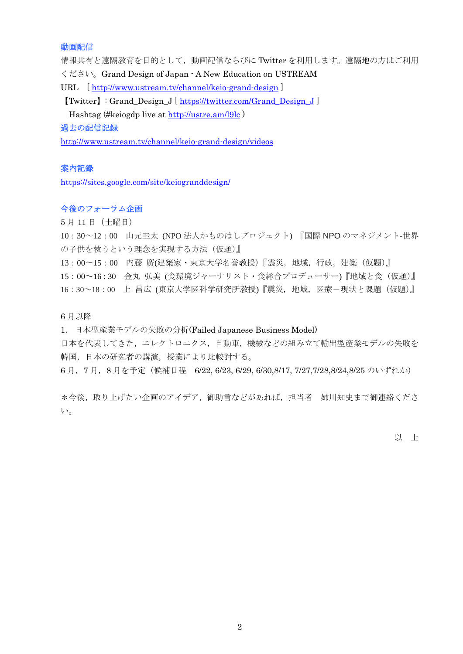#### 動画配信

情報共有と遠隔教育を目的として,動画配信ならびに Twitter を利用します。遠隔地の方はご利用 ください。Grand Design of Japan - A New Education on USTREAM

URL [<http://www.ustream.tv/channel/keio-grand-design> ]

【Twitter】: Grand\_Design\_J [ [https://twitter.com/Grand\\_Design\\_J](https://twitter.com/Grand_Design_J) ]

Hashtag (#keiogdp live at<http://ustre.am/l9lc> )

#### 過去の配信記録

<http://www.ustream.tv/channel/keio-grand-design/videos>

#### 案内記録

<https://sites.google.com/site/keiogranddesign/>

#### 今後のフォーラム企画

5 月 11 日(土曜日)

10:30~12:00 山元圭太 (NPO 法人かものはしプロジェクト) 『国際 NPO のマネジメント-世界 の子供を救うという理念を実現する方法(仮題)』

13:00〜15:00 内藤 廣(建築家・東京大学名誉教授)『震災,地域,行政,建築(仮題)』

15:00~16 : 30 金丸 弘美 (食環境ジャーナリスト・食総合プロデューサー)『地域と食(仮題)』

16:30~18:00 上 昌広 (東京大学医科学研究所教授)『震災,地域,医療-現状と課題(仮題)』

6 月以降

1.日本型産業モデルの失敗の分析(Failed Japanese Business Model)

日本を代表してきた,エレクトロニクス,自動車,機械などの組み立て輸出型産業モデルの失敗を 韓国,日本の研究者の講演,授業により比較討する。

6 月,7 月,8 月を予定(候補日程 6/22, 6/23, 6/29, 6/30,8/17, 7/27,7/28,8/24,8/25 のいずれか)

\*今後,取り上げたい企画のアイデア,御助言などがあれば,担当者 姉川知史まで御連絡くださ い。

以 上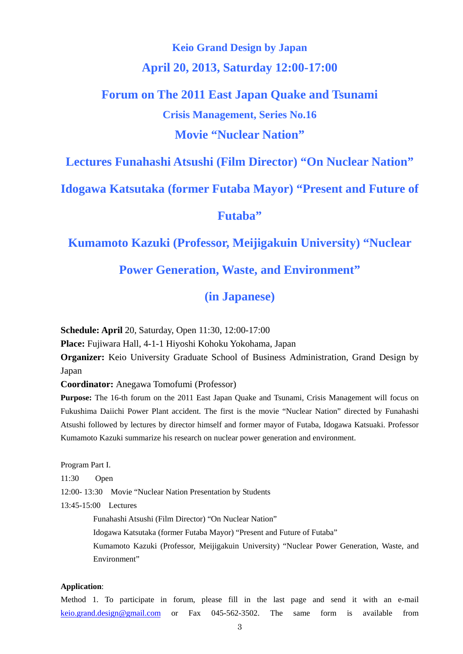# **Keio Grand Design by Japan April 20, 2013, Saturday 12:00-17:00**

# **Forum on The 2011 East Japan Quake and Tsunami Crisis Management, Series No.16 Movie "Nuclear Nation"**

# **Lectures Funahashi Atsushi (Film Director) "On Nuclear Nation"**

## **Idogawa Katsutaka (former Futaba Mayor) "Present and Future of**

## **Futaba"**

## **Kumamoto Kazuki (Professor, Meijigakuin University) "Nuclear**

# **Power Generation, Waste, and Environment"**

# **(in Japanese)**

**Schedule: April** 20, Saturday, Open 11:30, 12:00-17:00

**Place:** Fujiwara Hall, 4-1-1 Hiyoshi Kohoku Yokohama, Japan

**Organizer:** Keio University Graduate School of Business Administration, Grand Design by Japan

**Coordinator:** Anegawa Tomofumi (Professor)

**Purpose:** The 16-th forum on the 2011 East Japan Quake and Tsunami, Crisis Management will focus on Fukushima Daiichi Power Plant accident. The first is the movie "Nuclear Nation" directed by Funahashi Atsushi followed by lectures by director himself and former mayor of Futaba, Idogawa Katsuaki. Professor Kumamoto Kazuki summarize his research on nuclear power generation and environment.

Program Part I.

11:30 Open

12:00- 13:30 Movie "Nuclear Nation Presentation by Students

13:45-15:00 Lectures

Funahashi Atsushi (Film Director) "On Nuclear Nation"

Idogawa Katsutaka (former Futaba Mayor) "Present and Future of Futaba"

Kumamoto Kazuki (Professor, Meijigakuin University) "Nuclear Power Generation, Waste, and Environment"

#### **Application**:

Method 1. To participate in forum, please fill in the last page and send it with an e-mail [keio.grand.design@gmail.com](mailto:keio.grand.design@gmail.com) or Fax 045-562-3502. The same form is available from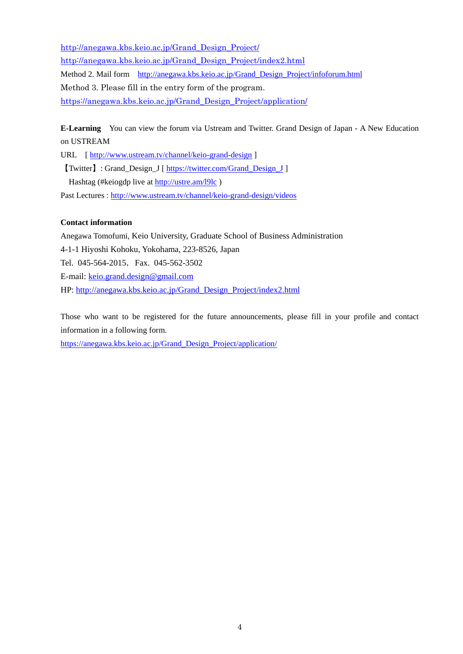[http://anegawa.kbs.keio.ac.jp/Grand\\_Design\\_Project/](http://anegawa.kbs.keio.ac.jp/Grand_Design_Project/) [http://anegawa.kbs.keio.ac.jp/Grand\\_Design\\_Project/index2.html](http://anegawa.kbs.keio.ac.jp/Grand_Design_Project/index2.html) Method 2. Mail form [http://anegawa.kbs.keio.ac.jp/Grand\\_Design\\_Project/infoforum.html](http://anegawa.kbs.keio.ac.jp/Grand_Design_Project/infoforum.html) Method 3. Please fill in the entry form of the program. [https://anegawa.kbs.keio.ac.jp/Grand\\_Design\\_Project/application/](https://anegawa.kbs.keio.ac.jp/Grand_Design_Project/application/)

**E-Learning** You can view the forum via Ustream and Twitter. Grand Design of Japan - A New Education on USTREAM

URL [<http://www.ustream.tv/channel/keio-grand-design> ]

【Twitter】: Grand\_Design\_J [ [https://twitter.com/Grand\\_Design\\_J](https://twitter.com/Grand_Design_J) ] Hashtag (#keiogdp live at<http://ustre.am/l9lc> ) Past Lectures :<http://www.ustream.tv/channel/keio-grand-design/videos>

### **Contact information**

Anegawa Tomofumi, Keio University, Graduate School of Business Administration 4-1-1 Hiyoshi Kohoku, Yokohama, 223-8526, Japan Tel. 045-564-2015, Fax. 045-562-3502 E-mail: [keio.grand.design@gmail.com](mailto:keio.grand.design@gmail.com) HP: [http://anegawa.kbs.keio.ac.jp/Grand\\_Design\\_Project/index2.html](http://anegawa.kbs.keio.ac.jp/Grand_Design_Project/index2.html)

Those who want to be registered for the future announcements, please fill in your profile and contact information in a following form.

[https://anegawa.kbs.keio.ac.jp/Grand\\_Design\\_Project/application/](https://anegawa.kbs.keio.ac.jp/Grand_Design_Project/application/)